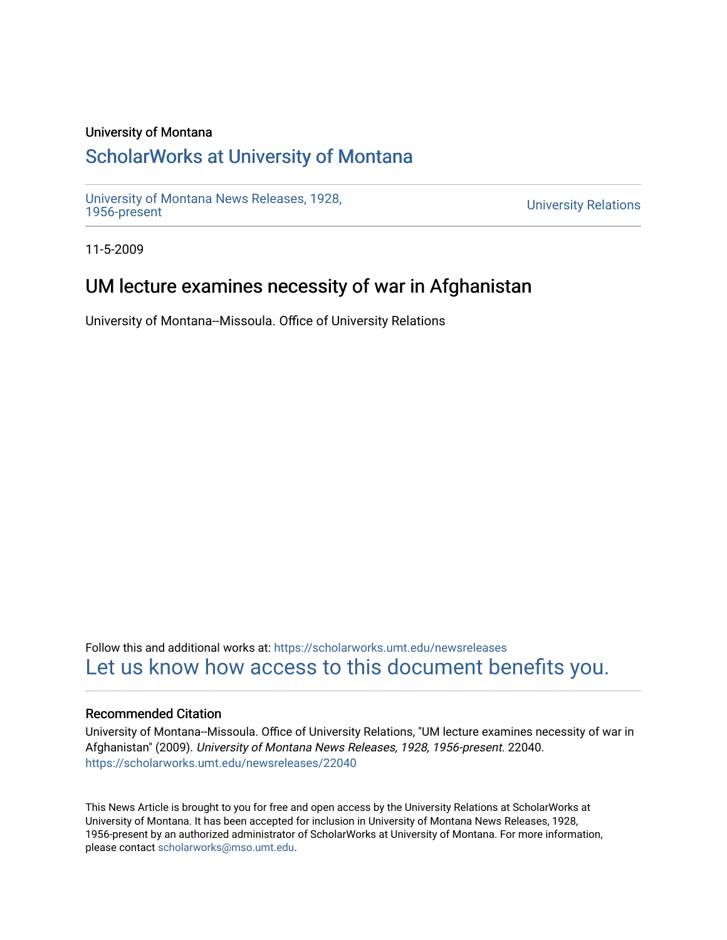#### University of Montana

# [ScholarWorks at University of Montana](https://scholarworks.umt.edu/)

[University of Montana News Releases, 1928,](https://scholarworks.umt.edu/newsreleases) 

**University Relations** 

11-5-2009

# UM lecture examines necessity of war in Afghanistan

University of Montana--Missoula. Office of University Relations

Follow this and additional works at: [https://scholarworks.umt.edu/newsreleases](https://scholarworks.umt.edu/newsreleases?utm_source=scholarworks.umt.edu%2Fnewsreleases%2F22040&utm_medium=PDF&utm_campaign=PDFCoverPages) [Let us know how access to this document benefits you.](https://goo.gl/forms/s2rGfXOLzz71qgsB2) 

#### Recommended Citation

University of Montana--Missoula. Office of University Relations, "UM lecture examines necessity of war in Afghanistan" (2009). University of Montana News Releases, 1928, 1956-present. 22040. [https://scholarworks.umt.edu/newsreleases/22040](https://scholarworks.umt.edu/newsreleases/22040?utm_source=scholarworks.umt.edu%2Fnewsreleases%2F22040&utm_medium=PDF&utm_campaign=PDFCoverPages) 

This News Article is brought to you for free and open access by the University Relations at ScholarWorks at University of Montana. It has been accepted for inclusion in University of Montana News Releases, 1928, 1956-present by an authorized administrator of ScholarWorks at University of Montana. For more information, please contact [scholarworks@mso.umt.edu.](mailto:scholarworks@mso.umt.edu)